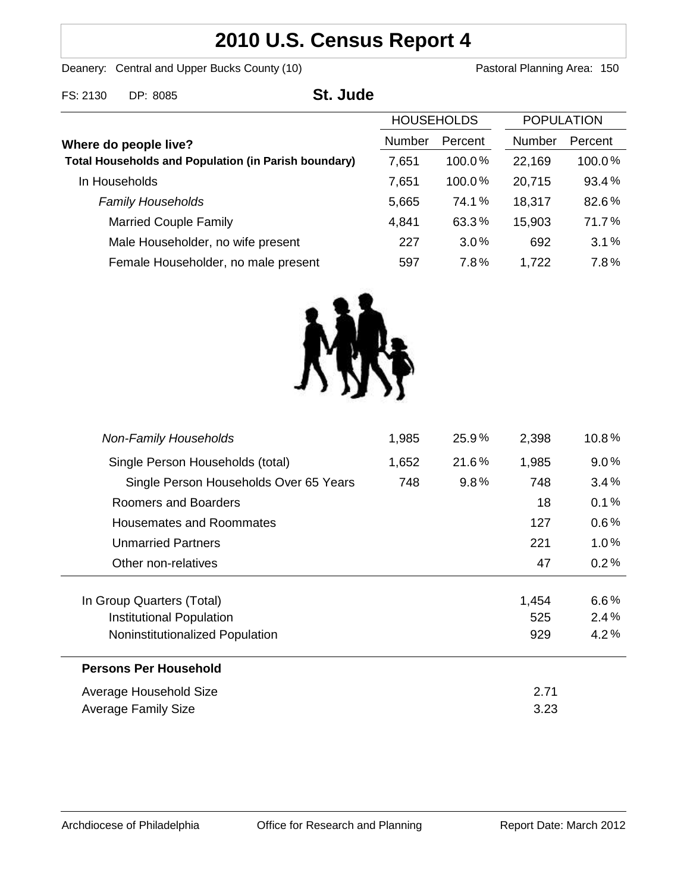# **2010 U.S. Census Report 4**

Deanery: Central and Upper Bucks County (10) Deanery: Central and Upper Bucks County (10)

| FS: 2130                                                                             | DP: 8085                            | St. Jude |                   |         |                   |         |
|--------------------------------------------------------------------------------------|-------------------------------------|----------|-------------------|---------|-------------------|---------|
|                                                                                      |                                     |          | <b>HOUSEHOLDS</b> |         | <b>POPULATION</b> |         |
| Where do people live?<br><b>Total Households and Population (in Parish boundary)</b> |                                     |          | <b>Number</b>     | Percent | <b>Number</b>     | Percent |
|                                                                                      |                                     |          | 7,651             | 100.0%  | 22,169            | 100.0%  |
|                                                                                      | In Households                       |          | 7,651             | 100.0%  | 20,715            | 93.4%   |
|                                                                                      | <b>Family Households</b>            |          | 5,665             | 74.1%   | 18,317            | 82.6%   |
|                                                                                      | <b>Married Couple Family</b>        |          | 4,841             | 63.3%   | 15,903            | 71.7%   |
|                                                                                      | Male Householder, no wife present   |          | 227               | $3.0\%$ | 692               | 3.1%    |
|                                                                                      | Female Householder, no male present |          | 597               | 7.8%    | 1,722             | 7.8%    |



| <b>Non-Family Households</b>           | 1,985 | $25.9\%$ | 2,398 | $10.8\%$ |
|----------------------------------------|-------|----------|-------|----------|
| Single Person Households (total)       | 1,652 | 21.6%    | 1,985 | $9.0\%$  |
| Single Person Households Over 65 Years | 748   | $9.8\%$  | 748   | $3.4\%$  |
| Roomers and Boarders                   |       |          | 18    | 0.1%     |
| <b>Housemates and Roommates</b>        |       |          | 127   | $0.6\%$  |
| <b>Unmarried Partners</b>              |       |          | 221   | $1.0\%$  |
| Other non-relatives                    |       |          | 47    | 0.2%     |
|                                        |       |          |       |          |
| In Group Quarters (Total)              |       |          | 1,454 | 6.6%     |
| Institutional Population               |       |          | 525   | 2.4%     |
| Noninstitutionalized Population        |       |          | 929   | 4.2%     |
| <b>Persons Per Household</b>           |       |          |       |          |
| Average Household Size                 |       |          | 2.71  |          |
| Average Family Size                    |       |          | 3.23  |          |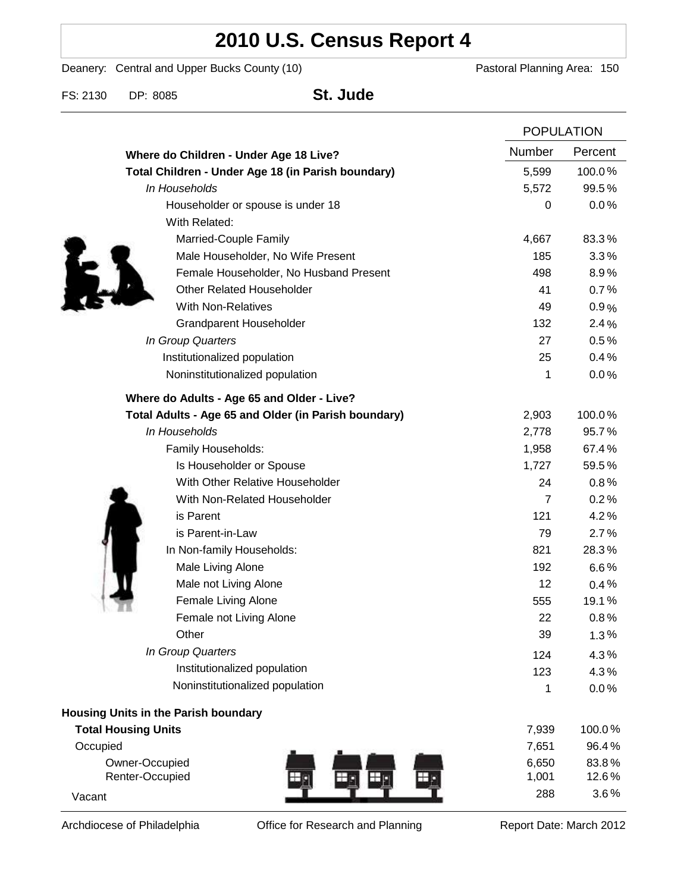# **2010 U.S. Census Report 4**

Deanery: Central and Upper Bucks County (10) Deanery: Central and Upper Bucks County (10)

FS: 2130 DP: 8085 **St. Jude**

|                                                      |                | <b>POPULATION</b> |  |
|------------------------------------------------------|----------------|-------------------|--|
| Where do Children - Under Age 18 Live?               | Number         | Percent           |  |
| Total Children - Under Age 18 (in Parish boundary)   | 5,599          | 100.0%            |  |
| In Households                                        | 5,572          | 99.5%             |  |
| Householder or spouse is under 18                    | 0              | 0.0%              |  |
| With Related:                                        |                |                   |  |
| Married-Couple Family                                | 4,667          | 83.3%             |  |
| Male Householder, No Wife Present                    | 185            | 3.3%              |  |
| Female Householder, No Husband Present               | 498            | 8.9%              |  |
| <b>Other Related Householder</b>                     | 41             | 0.7%              |  |
| <b>With Non-Relatives</b>                            | 49             | 0.9%              |  |
| <b>Grandparent Householder</b>                       | 132            | 2.4%              |  |
| In Group Quarters                                    | 27             | 0.5%              |  |
| Institutionalized population                         | 25             | 0.4%              |  |
| Noninstitutionalized population                      | 1              | 0.0%              |  |
| Where do Adults - Age 65 and Older - Live?           |                |                   |  |
| Total Adults - Age 65 and Older (in Parish boundary) | 2,903          | 100.0%            |  |
| In Households                                        | 2,778          | 95.7%             |  |
| Family Households:                                   | 1,958          | 67.4%             |  |
| Is Householder or Spouse                             | 1,727          | 59.5%             |  |
| With Other Relative Householder                      | 24             | 0.8%              |  |
| With Non-Related Householder                         | $\overline{7}$ | 0.2%              |  |
| is Parent                                            | 121            | 4.2%              |  |
| is Parent-in-Law                                     | 79             | 2.7%              |  |
| In Non-family Households:                            | 821            | 28.3%             |  |
| Male Living Alone                                    | 192            | $6.6\%$           |  |
| Male not Living Alone                                | 12             | 0.4%              |  |
| Female Living Alone                                  | 555            | 19.1%             |  |
| Female not Living Alone                              | 22             | 0.8%              |  |
| Other                                                | 39             | 1.3%              |  |
| In Group Quarters                                    | 124            | 4.3%              |  |
| Institutionalized population                         | 123            | 4.3%              |  |
| Noninstitutionalized population                      | 1              | 0.0%              |  |
| Housing Units in the Parish boundary                 |                |                   |  |
| <b>Total Housing Units</b>                           | 7,939          | 100.0%            |  |
| Occupied                                             | 7,651          | 96.4%             |  |
| Owner-Occupied                                       | 6,650          | 83.8%             |  |
| Renter-Occupied                                      | 1,001          | 12.6%             |  |
| Vacant                                               | 288            | 3.6%              |  |

Archdiocese of Philadelphia **Office for Research and Planning** Report Date: March 2012